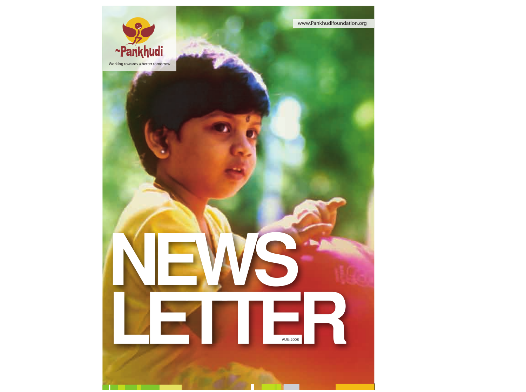

Working towards a better tomorrow

П

**NEWS**

**LETTER** 

AUG 2008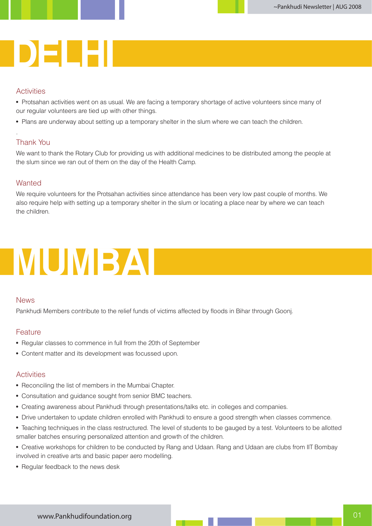### **MUMBAI PUNE DELHI**

#### **Activities**

• Protsahan activities went on as usual. We are facing a temporary shortage of active volunteers since many of our regular volunteers are tied up with other things.

• Plans are underway about setting up a temporary shelter in the slum where we can teach the children.

#### Thank You

.

We want to thank the Rotary Club for providing us with additional medicines to be distributed among the people at the slum since we ran out of them on the day of the Health Camp.

#### **Wanted**

We require volunteers for the Protsahan activities since attendance has been very low past couple of months. We also require help with setting up a temporary shelter in the slum or locating a place near by where we can teach the children.

# **MUMBAI**

#### News

Pankhudi Members contribute to the relief funds of victims affected by floods in Bihar through Goonj.

#### Feature

- Regular classes to commence in full from the 20th of September
- Content matter and its development was focussed upon.

#### **Activities**

- Reconciling the list of members in the Mumbai Chapter.
- Consultation and guidance sought from senior BMC teachers.
- Creating awareness about Pankhudi through presentations/talks etc. in colleges and companies.
- Drive undertaken to update children enrolled with Pankhudi to ensure a good strength when classes commence.
- Teaching techniques in the class restructured. The level of students to be gauged by a test. Volunteers to be allotted smaller batches ensuring personalized attention and growth of the children.
- Creative workshops for children to be conducted by Rang and Udaan. Rang and Udaan are clubs from IIT Bombay involved in creative arts and basic paper aero modelling.
- Regular feedback to the news desk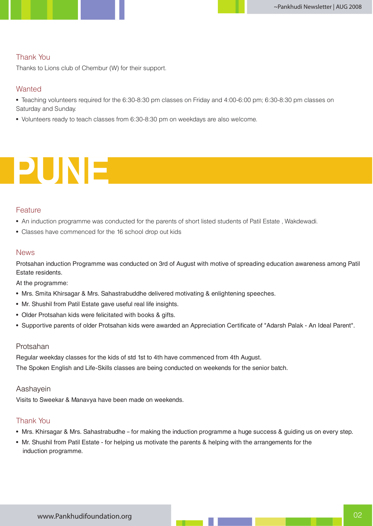#### Thank You

Thanks to Lions club of Chembur (W) for their support.

#### **Wanted**

- Teaching volunteers required for the 6:30-8:30 pm classes on Friday and 4:00-6:00 pm; 6:30-8:30 pm classes on Saturday and Sunday.
- Volunteers ready to teach classes from 6:30-8:30 pm on weekdays are also welcome.

## **PUNE**

#### **Feature**

- An induction programme was conducted for the parents of short listed students of Patil Estate , Wakdewadi.
- Classes have commenced for the 16 school drop out kids

#### News

Protsahan induction Programme was conducted on 3rd of August with motive of spreading education awareness among Patil Estate residents.

At the programme:

- Mrs. Smita Khirsagar & Mrs. Sahastrabuddhe delivered motivating & enlightening speeches.
- Mr. Shushil from Patil Estate gave useful real life insights.
- Older Protsahan kids were felicitated with books & gifts.
- Supportive parents of older Protsahan kids were awarded an Appreciation Certificate of "Adarsh Palak An Ideal Parent".

#### Protsahan

Regular weekday classes for the kids of std 1st to 4th have commenced from 4th August.

The Spoken English and Life-Skills classes are being conducted on weekends for the senior batch.

#### Aashayein

Visits to Sweekar & Manavya have been made on weekends.

#### Thank You

- Mrs. Khirsagar & Mrs. Sahastrabudhe for making the induction programme a huge success & guiding us on every step.
- Mr. Shushil from Patil Estate for helping us motivate the parents & helping with the arrangements for the induction programme.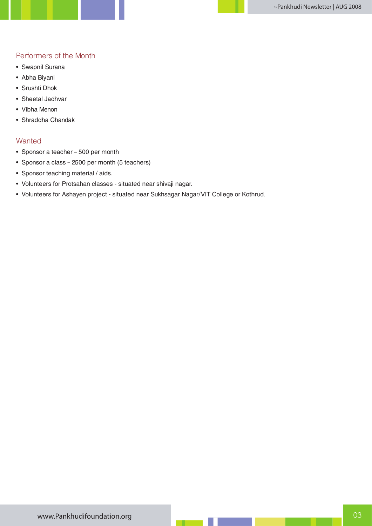#### Performers of the Month

- Swapnil Surana
- Abha Biyani
- Srushti Dhok
- Sheetal Jadhvar
- Vibha Menon
- Shraddha Chandak

#### **Wanted**

- Sponsor a teacher 500 per month
- Sponsor a class 2500 per month (5 teachers)
- Sponsor teaching material / aids.
- Volunteers for Protsahan classes situated near shivaji nagar.
- Volunteers for Ashayen project situated near Sukhsagar Nagar/VIT College or Kothrud.